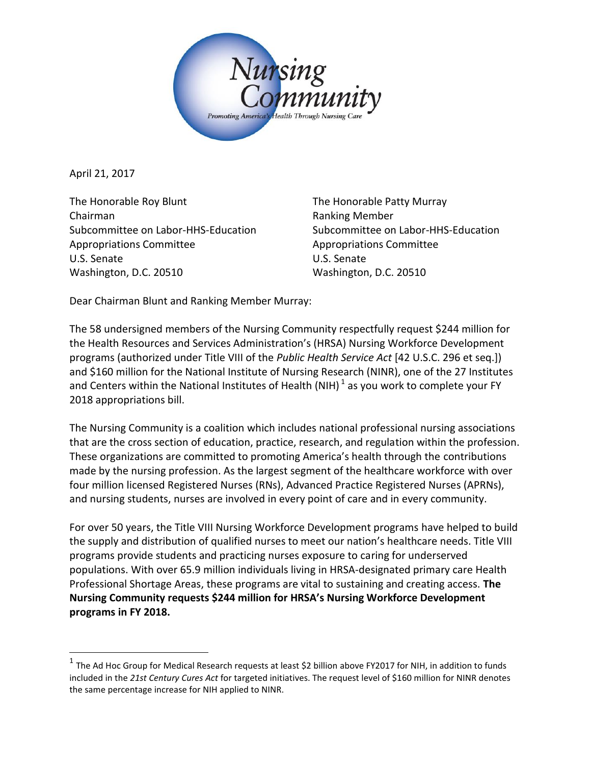

April 21, 2017

l

The Honorable Roy Blunt The Honorable Patty Murray Chairman **Ranking Member** Ranking Member Subcommittee on Labor-HHS-Education Subcommittee on Labor-HHS-Education Appropriations Committee Appropriations Committee U.S. Senate U.S. Senate Washington, D.C. 20510 Washington, D.C. 20510

Dear Chairman Blunt and Ranking Member Murray:

The 58 undersigned members of the Nursing Community respectfully request \$244 million for the Health Resources and Services Administration's (HRSA) Nursing Workforce Development programs (authorized under Title VIII of the *Public Health Service Act* [42 U.S.C. 296 et seq.]) and \$160 million for the National Institute of Nursing Research (NINR), one of the 27 Institutes and Centers within the National Institutes of Health (NIH)  $^1$  as you work to complete your FY 2018 appropriations bill.

The Nursing Community is a coalition which includes national professional nursing associations that are the cross section of education, practice, research, and regulation within the profession. These organizations are committed to promoting America's health through the contributions made by the nursing profession. As the largest segment of the healthcare workforce with over four million licensed Registered Nurses (RNs), Advanced Practice Registered Nurses (APRNs), and nursing students, nurses are involved in every point of care and in every community.

For over 50 years, the Title VIII Nursing Workforce Development programs have helped to build the supply and distribution of qualified nurses to meet our nation's healthcare needs. Title VIII programs provide students and practicing nurses exposure to caring for underserved populations. With over 65.9 million individuals living in HRSA-designated primary care Health Professional Shortage Areas, these programs are vital to sustaining and creating access. **The Nursing Community requests \$244 million for HRSA's Nursing Workforce Development programs in FY 2018.**

<sup>&</sup>lt;sup>1</sup> The Ad Hoc Group for Medical Research requests at least \$2 billion above FY2017 for NIH, in addition to funds included in the *21st Century Cures Act* for targeted initiatives. The request level of \$160 million for NINR denotes the same percentage increase for NIH applied to NINR.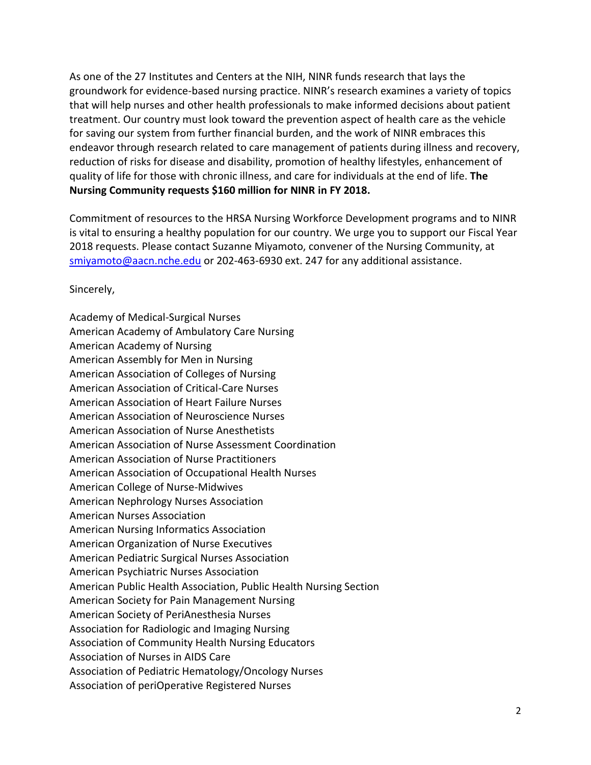As one of the 27 Institutes and Centers at the NIH, NINR funds research that lays the groundwork for evidence-based nursing practice. NINR's research examines a variety of topics that will help nurses and other health professionals to make informed decisions about patient treatment. Our country must look toward the prevention aspect of health care as the vehicle for saving our system from further financial burden, and the work of NINR embraces this endeavor through research related to care management of patients during illness and recovery, reduction of risks for disease and disability, promotion of healthy lifestyles, enhancement of quality of life for those with chronic illness, and care for individuals at the end of life. **The Nursing Community requests \$160 million for NINR in FY 2018.**

Commitment of resources to the HRSA Nursing Workforce Development programs and to NINR is vital to ensuring a healthy population for our country. We urge you to support our Fiscal Year 2018 requests. Please contact Suzanne Miyamoto, convener of the Nursing Community, at [smiyamoto@aacn.nche.edu](mailto:smiyamoto@aacn.nche.edu) or 202-463-6930 ext. 247 for any additional assistance.

Sincerely,

Academy of Medical-Surgical Nurses American Academy of Ambulatory Care Nursing American Academy of Nursing American Assembly for Men in Nursing American Association of Colleges of Nursing American Association of Critical-Care Nurses American Association of Heart Failure Nurses American Association of Neuroscience Nurses American Association of Nurse Anesthetists American Association of Nurse Assessment Coordination American Association of Nurse Practitioners American Association of Occupational Health Nurses American College of Nurse-Midwives American Nephrology Nurses Association American Nurses Association American Nursing Informatics Association American Organization of Nurse Executives American Pediatric Surgical Nurses Association American Psychiatric Nurses Association American Public Health Association, Public Health Nursing Section American Society for Pain Management Nursing American Society of PeriAnesthesia Nurses Association for Radiologic and Imaging Nursing Association of Community Health Nursing Educators Association of Nurses in AIDS Care Association of Pediatric Hematology/Oncology Nurses Association of periOperative Registered Nurses